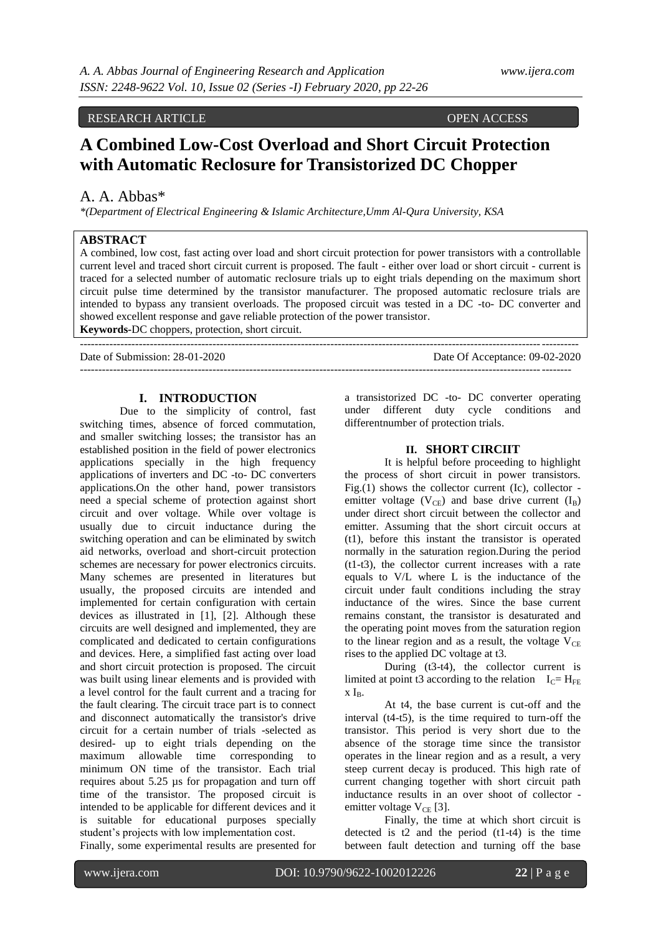# RESEARCH ARTICLE **CONSERVANCESS**

# **A Combined Low-Cost Overload and Short Circuit Protection with Automatic Reclosure for Transistorized DC Chopper**

# A. A. Abbas\*

*\*(Department of Electrical Engineering & Islamic Architecture,Umm Al-Qura University, KSA*

## **ABSTRACT**

A combined, low cost, fast acting over load and short circuit protection for power transistors with a controllable current level and traced short circuit current is proposed. The fault - either over load or short circuit - current is traced for a selected number of automatic reclosure trials up to eight trials depending on the maximum short circuit pulse time determined by the transistor manufacturer. The proposed automatic reclosure trials are intended to bypass any transient overloads. The proposed circuit was tested in a DC -to- DC converter and showed excellent response and gave reliable protection of the power transistor. **Keywords-**DC choppers, protection, short circuit.

-------------------------------------------------------------------------------------------------------------------------------------

---------------------------------------------------------------------------------------------------------------------------------------

#### Date of Submission: 28-01-2020 Date Of Acceptance: 09-02-2020

#### **I. INTRODUCTION**

Due to the simplicity of control, fast switching times, absence of forced commutation, and smaller switching losses; the transistor has an established position in the field of power electronics applications specially in the high frequency applications of inverters and DC -to- DC converters applications.On the other hand, power transistors need a special scheme of protection against short circuit and over voltage. While over voltage is usually due to circuit inductance during the switching operation and can be eliminated by switch aid networks, overload and short-circuit protection schemes are necessary for power electronics circuits. Many schemes are presented in literatures but usually, the proposed circuits are intended and implemented for certain configuration with certain devices as illustrated in [1], [2]. Although these circuits are well designed and implemented, they are complicated and dedicated to certain configurations and devices. Here, a simplified fast acting over load and short circuit protection is proposed. The circuit was built using linear elements and is provided with a level control for the fault current and a tracing for the fault clearing. The circuit trace part is to connect and disconnect automatically the transistor's drive circuit for a certain number of trials -selected as desired- up to eight trials depending on the maximum allowable time corresponding to minimum ON time of the transistor. Each trial requires about 5.25 µs for propagation and turn off time of the transistor. The proposed circuit is intended to be applicable for different devices and it is suitable for educational purposes specially student's projects with low implementation cost. Finally, some experimental results are presented for

a transistorized DC -to- DC converter operating under different duty cycle conditions and differentnumber of protection trials.

# **II. SHORT CIRCIIT**

It is helpful before proceeding to highlight the process of short circuit in power transistors. Fig.(1) shows the collector current (Ic), collector emitter voltage ( $V_{CE}$ ) and base drive current ( $I_B$ ) under direct short circuit between the collector and emitter. Assuming that the short circuit occurs at (t1), before this instant the transistor is operated normally in the saturation region.During the period (t1-t3), the collector current increases with a rate equals to V/L where L is the inductance of the circuit under fault conditions including the stray inductance of the wires. Since the base current remains constant, the transistor is desaturated and the operating point moves from the saturation region to the linear region and as a result, the voltage  $V_{CE}$ rises to the applied DC voltage at t3.

During (t3-t4), the collector current is limited at point t3 according to the relation  $I_C = H_{EF}$  $x I_B$ .

At t4, the base current is cut-off and the interval (t4-t5), is the time required to turn-off the transistor. This period is very short due to the absence of the storage time since the transistor operates in the linear region and as a result, a very steep current decay is produced. This high rate of current changing together with short circuit path inductance results in an over shoot of collector emitter voltage  $V_{CF}$  [3].

Finally, the time at which short circuit is detected is  $t2$  and the period  $(t1-t4)$  is the time between fault detection and turning off the base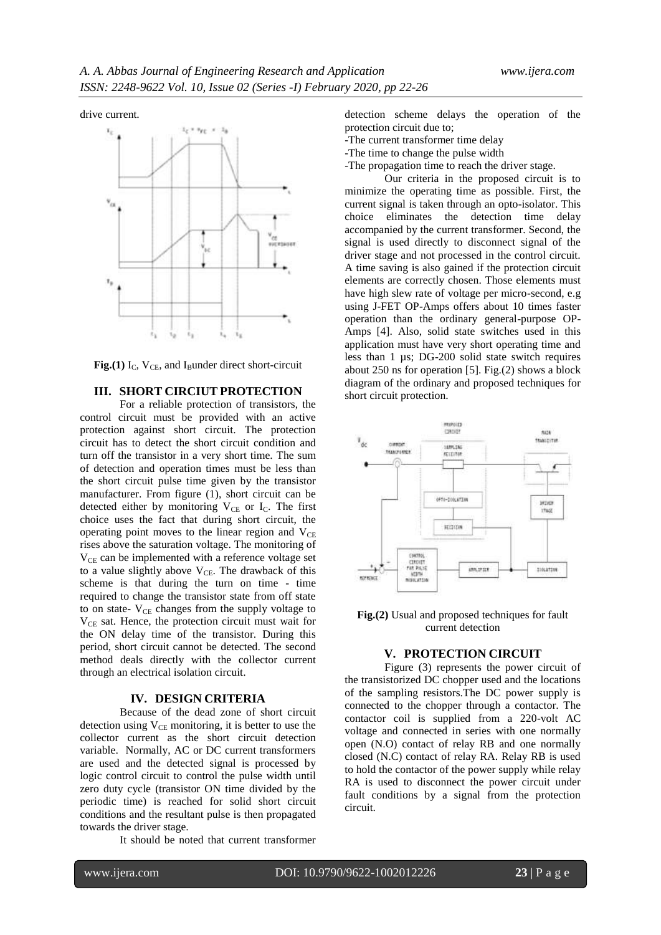drive current.



**Fig.(1)** I<sub>C</sub>,  $V_{CE}$ , and I<sub>B</sub>under direct short-circuit

#### **III. SHORT CIRCIUT PROTECTION**

For a reliable protection of transistors, the control circuit must be provided with an active protection against short circuit. The protection circuit has to detect the short circuit condition and turn off the transistor in a very short time. The sum of detection and operation times must be less than the short circuit pulse time given by the transistor manufacturer. From figure (1), short circuit can be detected either by monitoring  $V_{CE}$  or  $I_C$ . The first choice uses the fact that during short circuit, the operating point moves to the linear region and  $V_{CE}$ rises above the saturation voltage. The monitoring of  $V_{CE}$  can be implemented with a reference voltage set to a value slightly above  $V_{CE}$ . The drawback of this scheme is that during the turn on time - time required to change the transistor state from off state to on state-  $V_{CE}$  changes from the supply voltage to V<sub>CE</sub> sat. Hence, the protection circuit must wait for the ON delay time of the transistor. During this period, short circuit cannot be detected. The second method deals directly with the collector current through an electrical isolation circuit.

#### **IV. DESIGN CRITERIA**

Because of the dead zone of short circuit detection using  $V_{CE}$  monitoring, it is better to use the collector current as the short circuit detection variable. Normally, AC or DC current transformers are used and the detected signal is processed by logic control circuit to control the pulse width until zero duty cycle (transistor ON time divided by the periodic time) is reached for solid short circuit conditions and the resultant pulse is then propagated towards the driver stage.

It should be noted that current transformer

detection scheme delays the operation of the protection circuit due to;

- -The current transformer time delay
- -The time to change the pulse width
- -The propagation time to reach the driver stage.

Our criteria in the proposed circuit is to minimize the operating time as possible. First, the current signal is taken through an opto-isolator. This choice eliminates the detection time delay accompanied by the current transformer. Second, the signal is used directly to disconnect signal of the driver stage and not processed in the control circuit. A time saving is also gained if the protection circuit elements are correctly chosen. Those elements must have high slew rate of voltage per micro-second, e.g using J-FET OP-Amps offers about 10 times faster operation than the ordinary general-purpose OP-Amps [4]. Also, solid state switches used in this application must have very short operating time and less than 1 µs; DG-200 solid state switch requires about 250 ns for operation [5]. Fig.(2) shows a block diagram of the ordinary and proposed techniques for short circuit protection.



**Fig.(2)** Usual and proposed techniques for fault current detection

#### **V. PROTECTION CIRCUIT**

Figure (3) represents the power circuit of the transistorized DC chopper used and the locations of the sampling resistors.The DC power supply is connected to the chopper through a contactor. The contactor coil is supplied from a 220-volt AC voltage and connected in series with one normally open (N.O) contact of relay RB and one normally closed (N.C) contact of relay RA. Relay RB is used to hold the contactor of the power supply while relay RA is used to disconnect the power circuit under fault conditions by a signal from the protection circuit.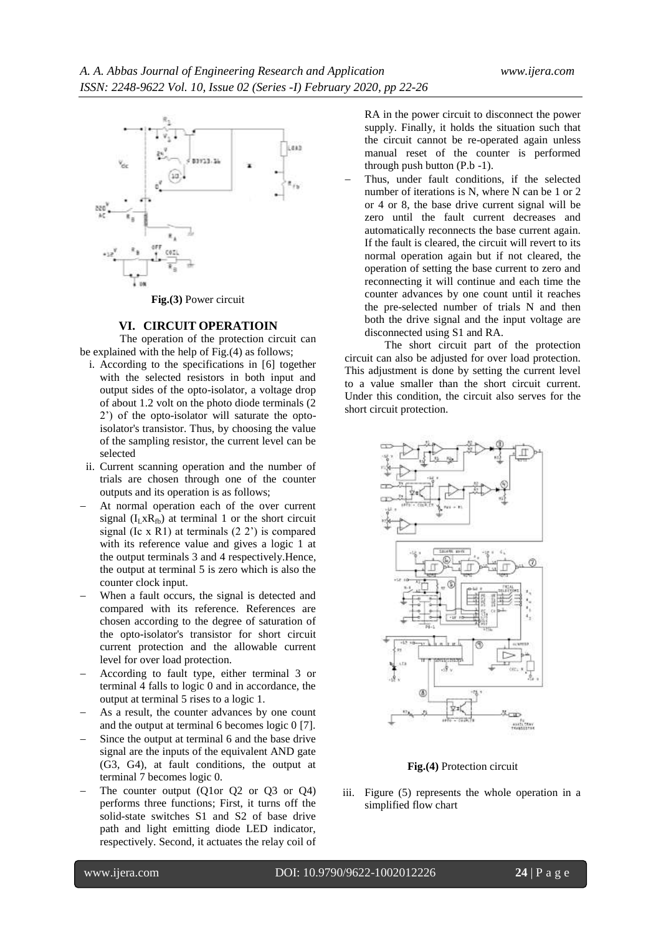

### **VI. CIRCUIT OPERATIOIN** The operation of the protection circuit can be explained with the help of Fig.(4) as follows;

- i. According to the specifications in [6] together with the selected resistors in both input and output sides of the opto-isolator, a voltage drop of about 1.2 volt on the photo diode terminals (2 2') of the opto-isolator will saturate the optoisolator's transistor. Thus, by choosing the value of the sampling resistor, the current level can be selected
- ii. Current scanning operation and the number of trials are chosen through one of the counter outputs and its operation is as follows;
- At normal operation each of the over current signal  $(I_LxR_f)$  at terminal 1 or the short circuit signal (Ic  $x \text{R1}$ ) at terminals (2 2') is compared with its reference value and gives a logic 1 at the output terminals 3 and 4 respectively.Hence, the output at terminal 5 is zero which is also the counter clock input.
- When a fault occurs, the signal is detected and compared with its reference. References are chosen according to the degree of saturation of the opto-isolator's transistor for short circuit current protection and the allowable current level for over load protection.
- According to fault type, either terminal 3 or terminal 4 falls to logic 0 and in accordance, the output at terminal 5 rises to a logic 1.
- As a result, the counter advances by one count and the output at terminal 6 becomes logic 0 [7].
- Since the output at terminal 6 and the base drive signal are the inputs of the equivalent AND gate (G3, G4), at fault conditions, the output at terminal 7 becomes logic 0.
- The counter output (Q1or Q2 or Q3 or Q4) performs three functions; First, it turns off the solid-state switches S1 and S2 of base drive path and light emitting diode LED indicator, respectively. Second, it actuates the relay coil of

RA in the power circuit to disconnect the power supply. Finally, it holds the situation such that the circuit cannot be re-operated again unless manual reset of the counter is performed through push button (P.b -1).

 Thus, under fault conditions, if the selected number of iterations is N, where N can be 1 or 2 or 4 or 8, the base drive current signal will be zero until the fault current decreases and automatically reconnects the base current again. If the fault is cleared, the circuit will revert to its normal operation again but if not cleared, the operation of setting the base current to zero and reconnecting it will continue and each time the counter advances by one count until it reaches the pre-selected number of trials N and then both the drive signal and the input voltage are disconnected using S1 and RA.

The short circuit part of the protection circuit can also be adjusted for over load protection. This adjustment is done by setting the current level to a value smaller than the short circuit current. Under this condition, the circuit also serves for the short circuit protection.



#### **Fig.(4)** Protection circuit

iii. Figure (5) represents the whole operation in a simplified flow chart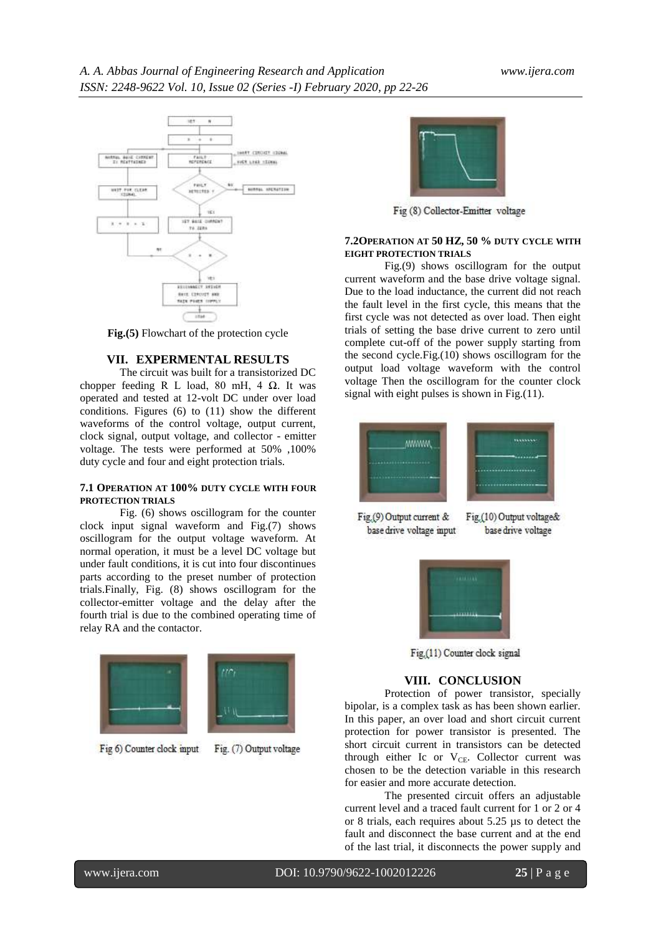

**Fig.(5)** Flowchart of the protection cycle

# **VII. EXPERMENTAL RESULTS**

The circuit was built for a transistorized DC chopper feeding R L load, 80 mH, 4  $Ω$ . It was operated and tested at 12-volt DC under over load conditions. Figures (6) to (11) show the different waveforms of the control voltage, output current, clock signal, output voltage, and collector - emitter voltage. The tests were performed at 50% ,100% duty cycle and four and eight protection trials.

## **7.1 OPERATION AT 100% DUTY CYCLE WITH FOUR PROTECTION TRIALS**

Fig. (6) shows oscillogram for the counter clock input signal waveform and Fig.(7) shows oscillogram for the output voltage waveform. At normal operation, it must be a level DC voltage but under fault conditions, it is cut into four discontinues parts according to the preset number of protection trials.Finally, Fig. (8) shows oscillogram for the collector-emitter voltage and the delay after the fourth trial is due to the combined operating time of relay RA and the contactor.



Fig 6) Counter clock input





Fig (8) Collector-Emitter voltage

## **7.2OPERATION AT 50 HZ, 50 % DUTY CYCLE WITH EIGHT PROTECTION TRIALS**

Fig.(9) shows oscillogram for the output current waveform and the base drive voltage signal. Due to the load inductance, the current did not reach the fault level in the first cycle, this means that the first cycle was not detected as over load. Then eight trials of setting the base drive current to zero until complete cut-off of the power supply starting from the second cycle.Fig.(10) shows oscillogram for the output load voltage waveform with the control voltage Then the oscillogram for the counter clock signal with eight pulses is shown in Fig.(11).



Fig.(9) Output current & base drive voltage input

Fig.(10) Output voltage& base drive voltage



Fig.(11) Counter clock signal

#### **VIII. CONCLUSION**

Protection of power transistor, specially bipolar, is a complex task as has been shown earlier. In this paper, an over load and short circuit current protection for power transistor is presented. The short circuit current in transistors can be detected through either Ic or  $V_{CE}$ . Collector current was chosen to be the detection variable in this research for easier and more accurate detection.

The presented circuit offers an adjustable current level and a traced fault current for 1 or 2 or 4 or 8 trials, each requires about 5.25 µs to detect the fault and disconnect the base current and at the end of the last trial, it disconnects the power supply and